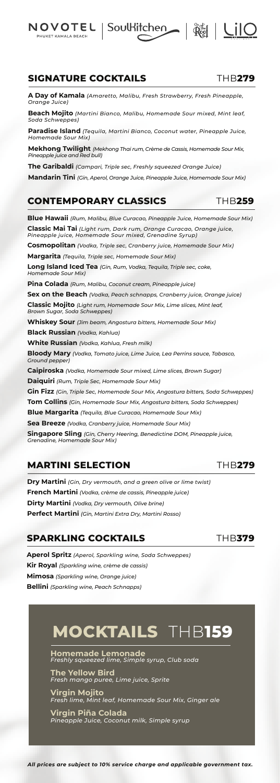*All prices are subject to 10% service charge and applicable government tax.*

**SIGNATURE COCKTAILS** THB**279**

NOVOTEL **DHIIKET KAMALA REACH** 

**A Day of Kamala** *(Amaretto, Malibu, Fresh Strawberry, Fresh Pineapple, Orange Juice)*

**Beach Mojito** *(Martini Bianco, Malibu, Homemade Sour mixed, Mint leaf, Soda Schweppes)*

**Paradise Island** *(Tequila, Martini Bianco, Coconut water, Pineapple Juice, Homemade Sour Mix)*

**Mekhong Twilight** *(Mekhong Thai rum, Crème de Cassis, Homemade Sour Mix, Pineapple juice and Red bull)*

**The Garibaldi** *(Campari, Triple sec, Freshly squeezed Orange Juice)*

**Mandarin Tini** *(Gin, Aperol, Orange Juice, Pineapple Juice, Homemade Sour Mix)*

#### **CONTEMPORARY CLASSICS** THB**259**

**Blue Hawaii** *(Rum, Malibu, Blue Curacao, Pineapple Juice, Homemade Sour Mix)* **Classic Mai Tai** *(Light rum, Dark rum, Orange Curacao, Orange juice, Pineapple juice, Homemade Sour mixed, Grenadine Syrup)*

**Cosmopolitan** *(Vodka, Triple sec, Cranberry juice, Homemade Sour Mix)*

**Margarita** *(Tequila, Triple sec, Homemade Sour Mix)*

**Long Island Iced Tea** *(Gin, Rum, Vodka, Tequila, Triple sec, coke, Homemade Sour Mix)*

**Pina Colada** *(Rum, Malibu, Coconut cream, Pineapple juice)*

**Sex on the Beach** *(Vodka, Peach schnapps, Cranberry juice, Orange juice)*

**Classic Mojito** *(Light rum, Homemade Sour Mix, Lime slices, Mint leaf, Brown Sugar, Soda Schweppes)*

**Whiskey Sour** *(Jim beam, Angostura bitters, Homemade Sour Mix)*

**Black Russian** *(Vodka, Kahlua)*

**White Russian** *(Vodka, Kahlua, Fresh milk)*

**Bloody Mary** *(Vodka, Tomato juice, Lime Juice, Lea Perrins sauce, Tabasco, Ground pepper)*

**Caipiroska** *(Vodka, Homemade Sour mixed, Lime slices, Brown Sugar)*

**Daiquiri** *(Rum, Triple Sec, Homemade Sour Mix)*

**Gin Fizz** *(Gin, Triple Sec, Homemade Sour Mix, Angostura bitters, Soda Schweppes)*

**Tom Collins** *(Gin, Homemade Sour Mix, Angostura bitters, Soda Schweppes)*

**Blue Margarita** *(Tequila, Blue Curacao, Homemade Sour Mix)*

**Sea Breeze** *(Vodka, Cranberry juice, Homemade Sour Mix)*

**Singapore Sling** *(Gin, Cherry Heering, Benedictine DOM, Pineapple juice, Grenadine, Homemade Sour Mix)*

#### **MARTINI SELECTION** THB**279**

**Dry Martini** *(Gin, Dry vermouth, and a green olive or lime twist)* **French Martini** *(Vodka, crème de cassis, Pineapple juice)* **Dirty Martini** *(Vodka, Dry vermouth, Olive brine)* **Perfect Martini** *(Gin, Martini Extra Dry, Martini Rosso)*

### **SPARKLING COCKTAILS** THB**379**

**Aperol Spritz** *(Aperol, Sparkling wine, Soda Schweppes)* **Kir Royal** *(Sparkling wine, crème de cassis)* **Mimosa** *(Sparkling wine, Orange juice)* **Bellini** *(Sparkling wine, Peach Schnapps)*

Soulkitchen | Reg | LIO

# **MOCKTAILS** THB**159**

**Homemade Lemonade**  *Freshly squeezed lime, Simple syrup, Club soda*

**The Yellow Bird**  *Fresh mango puree, Lime juice, Sprite*

**Virgin Mojito** *Fresh lime, Mint leaf, Homemade Sour Mix, Ginger ale*

**Virgin Piña Colada**  *Pineapple Juice, Coconut milk, Simple syrup*